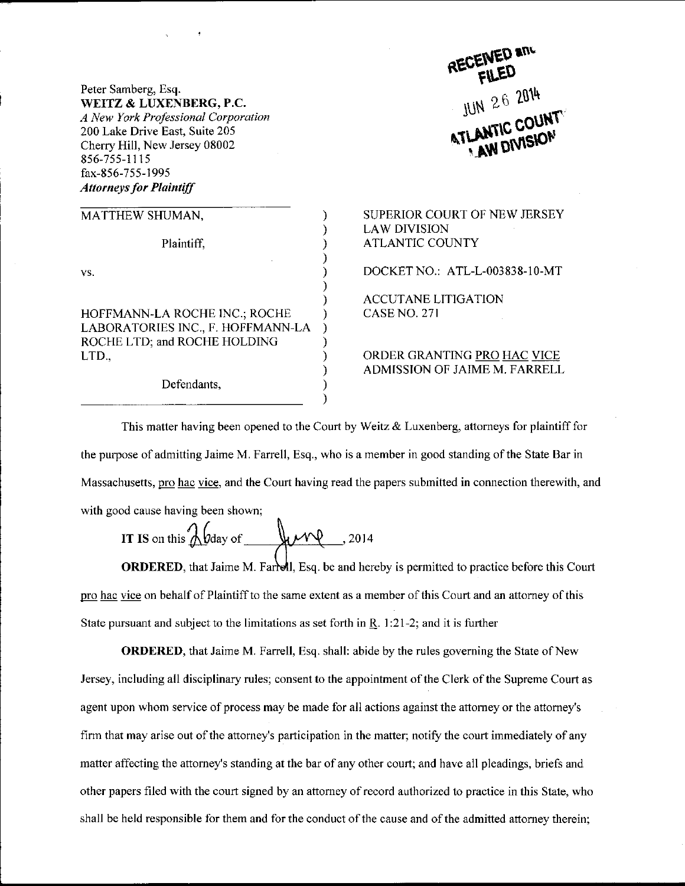Peter Samberg, Esq. WEITZ & LIXENBERG, P.C. A New York Professional Corporation 200 Lake Drive East, Suite 205 Cherry Hill, New Jersey 08002 856-755-1 1 15 fax-856-755-1995 **Attorneys for Plaintiff** 

| MATTHEW SHUMAN,                                                   |
|-------------------------------------------------------------------|
| Plaintiff.                                                        |
| VS.                                                               |
| HOFFMANN-LA ROCHE INC.; ROCHE                                     |
| LABORATORIES INC., F. HOFFMANN-LA<br>ROCHE LTD; and ROCHE HOLDING |
| LTD.,                                                             |
| Defendants.                                                       |

JUN 26 2014

SUPERIOR COURT OF NEW JERSEY LAW DIVISION ATLANTIC COUNTY DOCKET NO.: ATL-L-003838-10-MT ACCUTANE LITIGATION CASE NO, 271 ORDER GRANTING PRO HAC VICE ADMISSION OF JAIME M. FARRELL

This matter having been opened to the Court by Weitz & Luxenberg, attorneys for plaintiff for the purpose of admitting Jaime M. Farrell, Esq., who is a member in good standing of the State Bar in Massachusetts, pro hac vice, and the Court having read the papers submitted in connection therewith, and with good cause having been shown;

 $\lambda$ 

IT IS on this 
$$
\lambda
$$
 bday of  $\mu$  2014

**ORDERED**, that Jaime M. Farrell, Esq. be and hereby is permitted to practice before this Court pro hac vice on behalf of Plaintiff to the same extent as a member of this Court and an attorney of this State pursuant and subject to the limitations as set forth in  $R$ . 1:21-2; and it is further

**ORDERED**, that Jaime M. Farrell, Esq. shall: abide by the rules governing the State of New Jersey, including all disciplinary rules; consent to the appointment ofthe Clerk ofthe Supreme Court as agent upon whom service of process may be made for all actions against the attomey or the attomey's firm that may arise out of the attorney's participation in the matter; notify the court immediately of any matter affecting the attorney's standing at the bar of any other court; and have all pleadings, briefs and other papers filed with the court signed by an attorney of record authorized to practice in this State, who shall be held responsible for them and for the conduct of the cause and of the admitted attorney therein;